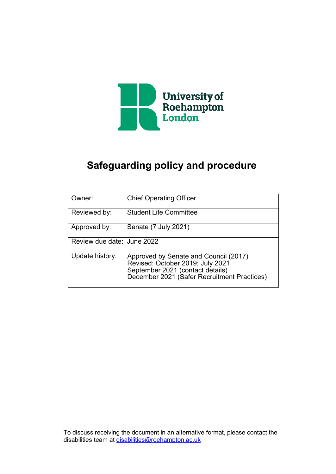

## **Safeguarding policy and procedure**

| Owner:                     | <b>Chief Operating Officer</b>                                                                                                                               |
|----------------------------|--------------------------------------------------------------------------------------------------------------------------------------------------------------|
| Reviewed by:               | <b>Student Life Committee</b>                                                                                                                                |
| Approved by:               | Senate (7 July 2021)                                                                                                                                         |
| Review due date: June 2022 |                                                                                                                                                              |
| Update history:            | Approved by Senate and Council (2017)<br>Revised: October 2019; July 2021<br>September 2021 (contact details)<br>December 2021 (Safer Recruitment Practices) |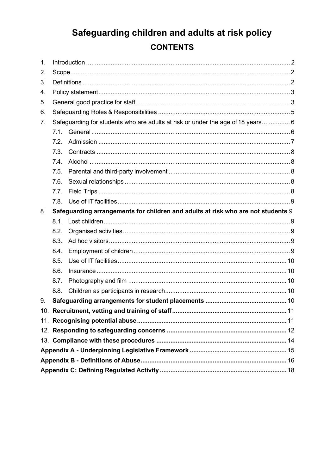## Safeguarding children and adults at risk policy **CONTENTS**

| 1. |                                                                                  |  |  |  |  |
|----|----------------------------------------------------------------------------------|--|--|--|--|
| 2. |                                                                                  |  |  |  |  |
| 3. |                                                                                  |  |  |  |  |
| 4. |                                                                                  |  |  |  |  |
| 5. |                                                                                  |  |  |  |  |
| 6. |                                                                                  |  |  |  |  |
| 7. | Safeguarding for students who are adults at risk or under the age of 18 years 6  |  |  |  |  |
|    | 7.1.                                                                             |  |  |  |  |
|    | 7.2.                                                                             |  |  |  |  |
|    | 7.3.                                                                             |  |  |  |  |
|    | 7.4.                                                                             |  |  |  |  |
|    | 7.5.                                                                             |  |  |  |  |
|    | 7.6.                                                                             |  |  |  |  |
|    | 7.7.                                                                             |  |  |  |  |
|    | 7.8.                                                                             |  |  |  |  |
| 8. | Safeguarding arrangements for children and adults at risk who are not students 9 |  |  |  |  |
|    | 8.1.                                                                             |  |  |  |  |
|    | 8.2.                                                                             |  |  |  |  |
|    | 8.3.                                                                             |  |  |  |  |
|    | 8.4.                                                                             |  |  |  |  |
|    | 8.5.                                                                             |  |  |  |  |
|    | 8.6.                                                                             |  |  |  |  |
|    | 8.7.                                                                             |  |  |  |  |
|    | 8.8.                                                                             |  |  |  |  |
| 9. |                                                                                  |  |  |  |  |
|    |                                                                                  |  |  |  |  |
|    |                                                                                  |  |  |  |  |
|    |                                                                                  |  |  |  |  |
|    |                                                                                  |  |  |  |  |
|    |                                                                                  |  |  |  |  |
|    |                                                                                  |  |  |  |  |
|    |                                                                                  |  |  |  |  |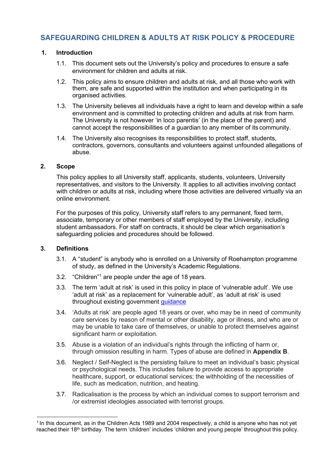### **SAFEGUARDING CHILDREN & ADULTS AT RISK POLICY & PROCEDURE**

#### <span id="page-2-0"></span>**Introduction 1.**

- 1.1. This document sets out the University's policy and procedures to ensure a safe environment for children and adults at risk.
- 1.2. This policy aims to ensure children and adults at risk, and all those who work with them, are safe and supported within the institution and when participating in its organised activities.
- 1.3. The University believes all individuals have a right to learn and develop within a safe environment and is committed to protecting children and adults at risk from harm. The University is not however 'in loco parentis' (in the place of the parent) and cannot accept the responsibilities of a guardian to any member of its community.
- 1.4. The University also recognises its responsibilities to protect staff, students, contractors, governors, consultants and volunteers against unfounded allegations of abuse.

#### <span id="page-2-1"></span>**2. Scope**

This policy applies to all University staff, applicants, students, volunteers, University representatives, and visitors to the University. It applies to all activities involving contact with children or adults at risk, including where those activities are delivered virtually via an online environment.

For the purposes of this policy, University staff refers to any permanent, fixed term, associate, temporary or other members of staff employed by the University, including student ambassadors. For staff on contracts, it should be clear which organisation's safeguarding policies and procedures should be followed.

#### <span id="page-2-2"></span>**3. Definitions**

- 3.1. A "student" is anybody who is enrolled on a University of Roehampton programme of study, as defined in the University's Academic Regulations.
- 3.2. "Children["1](#page-2-3) are people under the age of 18 years.
- 3.3. The term 'adult at risk' is used in this policy in place of 'vulnerable adult'. We use 'adult at risk' as a replacement for 'vulnerable adult', as 'adult at risk' is used throughout existing government [guidance](https://www.gov.uk/government/collections/safeguarding-adults-at-risk-office-of-the-public-guardian#safeguarding-strategy-2019-to-2025)
- 3.4. 'Adults at risk' are people aged 18 years or over, who may be in need of community care services by reason of mental or other disability, age or illness, and who are or may be unable to take care of themselves, or unable to protect themselves against significant harm or exploitation.
- 3.5. Abuse is a violation of an individual's rights through the inflicting of harm or, through omission resulting in harm. Types of abuse are defined in **Appendix B**.
- 3.6. Neglect / Self-Neglect is the persisting failure to meet an individual's basic physical or psychological needs. This includes failure to provide access to appropriate healthcare, support, or educational services; the withholding of the necessities of life, such as medication, nutrition, and heating.
- 3.7. Radicalisation is the process by which an individual comes to support terrorism and /or extremist ideologies associated with terrorist groups.

<span id="page-2-3"></span><sup>1</sup> In this document, as in the Children Acts 1989 and 2004 respectively, a child is anyone who has not yet reached their 18th birthday. The term 'children' includes 'children and young people' throughout this policy.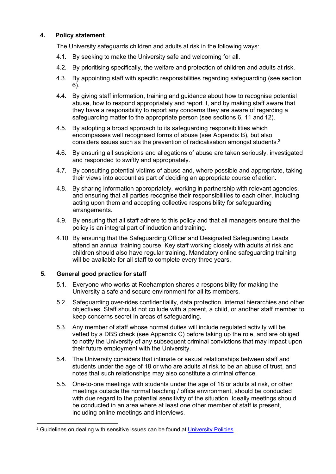#### <span id="page-3-0"></span>**4. Policy statement**

The University safeguards children and adults at risk in the following ways:

- 4.1. By seeking to make the University safe and welcoming for all.
- 4.2. By prioritising specifically, the welfare and protection of children and adults at risk.
- 4.3. By appointing staff with specific responsibilities regarding safeguarding (see section 6).
- 4.4. By giving staff information, training and guidance about how to recognise potential abuse, how to respond appropriately and report it, and by making staff aware that they have a responsibility to report any concerns they are aware of regarding a safeguarding matter to the appropriate person (see sections 6, 11 and 12).
- 4.5. By adopting a broad approach to its safeguarding responsibilities which encompasses well recognised forms of abuse (see Appendix B), but also considers issues such as the prevention of radicalisation amongst students.<sup>2</sup>
- 4.6. By ensuring all suspicions and allegations of abuse are taken seriously, investigated and responded to swiftly and appropriately.
- 4.7. By consulting potential victims of abuse and, where possible and appropriate, taking their views into account as part of deciding an appropriate course of action.
- 4.8. By sharing information appropriately, working in partnership with relevant agencies, and ensuring that all parties recognise their responsibilities to each other, including acting upon them and accepting collective responsibility for safeguarding arrangements.
- 4.9. By ensuring that all staff adhere to this policy and that all managers ensure that the policy is an integral part of induction and training.
- 4.10. By ensuring that the Safeguarding Officer and Designated Safeguarding Leads attend an annual training course. Key staff working closely with adults at risk and children should also have regular training. Mandatory online safeguarding training will be available for all staff to complete every three years.

#### <span id="page-3-1"></span>**5. General good practice for staff**

- 5.1. Everyone who works at Roehampton shares a responsibility for making the University a safe and secure environment for all its members.
- 5.2. Safeguarding over-rides confidentiality, data protection, internal hierarchies and other objectives. Staff should not collude with a parent, a child, or another staff member to keep concerns secret in areas of safeguarding.
- 5.3. Any member of staff whose normal duties will include regulated activity will be vetted by a DBS check (see Appendix C) before taking up the role, and are obliged to notify the University of any subsequent criminal convictions that may impact upon their future employment with the University.
- 5.4. The University considers that intimate or sexual relationships between staff and students under the age of 18 or who are adults at risk to be an abuse of trust, and notes that such relationships may also constitute a criminal offence.
- 5.5. One-to-one meetings with students under the age of 18 or adults at risk, or other meetings outside the normal teaching / office environment, should be conducted with due regard to the potential sensitivity of the situation. Ideally meetings should be conducted in an area where at least one other member of staff is present, including online meetings and interviews.

<span id="page-3-2"></span><sup>&</sup>lt;sup>2</sup> Guidelines on dealing with sensitive issues can be found at [University](https://www.roehampton.ac.uk/corporate-information/policies/) Policies.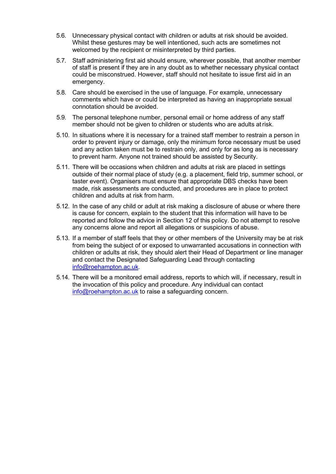- 5.6. Unnecessary physical contact with children or adults at risk should be avoided. Whilst these gestures may be well intentioned, such acts are sometimes not welcomed by the recipient or misinterpreted by third parties.
- 5.7. Staff administering first aid should ensure, wherever possible, that another member of staff is present if they are in any doubt as to whether necessary physical contact could be misconstrued. However, staff should not hesitate to issue first aid in an emergency.
- 5.8. Care should be exercised in the use of language. For example, unnecessary comments which have or could be interpreted as having an inappropriate sexual connotation should be avoided.
- 5.9. The personal telephone number, personal email or home address of any staff member should not be given to children or students who are adults at risk.
- 5.10. In situations where it is necessary for a trained staff member to restrain a person in order to prevent injury or damage, only the minimum force necessary must be used and any action taken must be to restrain only, and only for as long as is necessary to prevent harm. Anyone not trained should be assisted by Security.
- 5.11. There will be occasions when children and adults at risk are placed in settings outside of their normal place of study (e.g. a placement, field trip, summer school, or taster event). Organisers must ensure that appropriate DBS checks have been made, risk assessments are conducted, and procedures are in place to protect children and adults at risk from harm.
- 5.12. In the case of any child or adult at risk making a disclosure of abuse or where there is cause for concern, explain to the student that this information will have to be reported and follow the advice in Section 12 of this policy. Do not attempt to resolve any concerns alone and report all allegations or suspicions of abuse.
- 5.13. If a member of staff feels that they or other members of the University may be at risk from being the subject of or exposed to unwarranted accusations in connection with children or adults at risk, they should alert their Head of Department or line manager and contact the Designated Safeguarding Lead through contacting [info@roehampton.ac.uk.](mailto:%20info@roehampton.ac.uk)
- 5.14. There will be a monitored email address, reports to which will, if necessary, result in the invocation of this policy and procedure. Any individual can contact [info@roehampton.ac.uk](mailto:%20info@roehampton.ac.uk) to raise a safeguarding concern.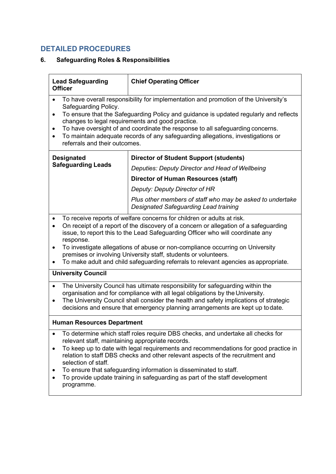## **DETAILED PROCEDURES**

### <span id="page-5-0"></span>**6. Safeguarding Roles & Responsibilities**

| <b>Lead Safeguarding</b><br><b>Officer</b>                                                                                                                                                                                                                                                                                                                                                                                                                                                                                                      | <b>Chief Operating Officer</b>                                                                     |  |  |  |  |
|-------------------------------------------------------------------------------------------------------------------------------------------------------------------------------------------------------------------------------------------------------------------------------------------------------------------------------------------------------------------------------------------------------------------------------------------------------------------------------------------------------------------------------------------------|----------------------------------------------------------------------------------------------------|--|--|--|--|
| To have overall responsibility for implementation and promotion of the University's<br>Safeguarding Policy.<br>To ensure that the Safeguarding Policy and guidance is updated regularly and reflects<br>٠<br>changes to legal requirements and good practice.<br>To have oversight of and coordinate the response to all safeguarding concerns.<br>٠<br>To maintain adequate records of any safeguarding allegations, investigations or<br>$\bullet$<br>referrals and their outcomes.                                                           |                                                                                                    |  |  |  |  |
| <b>Designated</b>                                                                                                                                                                                                                                                                                                                                                                                                                                                                                                                               | <b>Director of Student Support (students)</b>                                                      |  |  |  |  |
| <b>Safeguarding Leads</b>                                                                                                                                                                                                                                                                                                                                                                                                                                                                                                                       | Deputies: Deputy Director and Head of Wellbeing                                                    |  |  |  |  |
|                                                                                                                                                                                                                                                                                                                                                                                                                                                                                                                                                 | <b>Director of Human Resources (staff)</b>                                                         |  |  |  |  |
|                                                                                                                                                                                                                                                                                                                                                                                                                                                                                                                                                 | Deputy: Deputy Director of HR                                                                      |  |  |  |  |
|                                                                                                                                                                                                                                                                                                                                                                                                                                                                                                                                                 | Plus other members of staff who may be asked to undertake<br>Designated Safeguarding Lead training |  |  |  |  |
| To receive reports of welfare concerns for children or adults at risk.<br>$\bullet$<br>On receipt of a report of the discovery of a concern or allegation of a safeguarding<br>$\bullet$<br>issue, to report this to the Lead Safeguarding Officer who will coordinate any<br>response.<br>To investigate allegations of abuse or non-compliance occurring on University<br>$\bullet$<br>premises or involving University staff, students or volunteers.<br>To make adult and child safeguarding referrals to relevant agencies as appropriate. |                                                                                                    |  |  |  |  |
| <b>University Council</b>                                                                                                                                                                                                                                                                                                                                                                                                                                                                                                                       |                                                                                                    |  |  |  |  |
| The University Council has ultimate responsibility for safeguarding within the<br>organisation and for compliance with all legal obligations by the University.<br>The University Council shall consider the health and safety implications of strategic<br>٠<br>decisions and ensure that emergency planning arrangements are kept up todate.                                                                                                                                                                                                  |                                                                                                    |  |  |  |  |
| <b>Human Resources Department</b>                                                                                                                                                                                                                                                                                                                                                                                                                                                                                                               |                                                                                                    |  |  |  |  |
| To determine which staff roles require DBS checks, and undertake all checks for<br>relevant staff, maintaining appropriate records.<br>To keep up to date with legal requirements and recommendations for good practice in<br>relation to staff DBS checks and other relevant aspects of the recruitment and<br>selection of staff.<br>To ensure that safeguarding information is disseminated to staff.<br>To provide update training in safeguarding as part of the staff development<br>programme.                                           |                                                                                                    |  |  |  |  |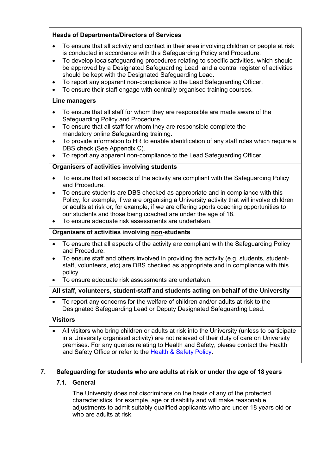#### **Heads of Departments/Directors of Services**

- To ensure that all activity and contact in their area involving children or people at risk is conducted in accordance with this Safeguarding Policy and Procedure.
- To develop localsafeguarding procedures relating to specific activities, which should be approved by a Designated Safeguarding Lead, and a central register of activities should be kept with the Designated Safeguarding Lead.
- To report any apparent non-compliance to the Lead Safeguarding Officer.
- To ensure their staff engage with centrally organised training courses.

#### **Line managers**

- To ensure that all staff for whom they are responsible are made aware of the Safeguarding Policy and Procedure.
- To ensure that all staff for whom they are responsible complete the mandatory online Safeguarding training.
- To provide information to HR to enable identification of any staff roles which require a DBS check (See Appendix C).
- To report any apparent non-compliance to the Lead Safeguarding Officer.

#### **Organisers of activities involving students**

- To ensure that all aspects of the activity are compliant with the Safeguarding Policy and Procedure.
- To ensure students are DBS checked as appropriate and in compliance with this Policy, for example, if we are organising a University activity that will involve children or adults at risk or, for example, if we are offering sports coaching opportunities to our students and those being coached are under the age of 18.
- To ensure adequate risk assessments are undertaken.

#### **Organisers of activities involving non-students**

- To ensure that all aspects of the activity are compliant with the Safeguarding Policy and Procedure.
- To ensure staff and others involved in providing the activity (e.g. students, studentstaff, volunteers, etc) are DBS checked as appropriate and in compliance with this policy.
- To ensure adequate risk assessments are undertaken.

#### **All staff, volunteers, student-staff and students acting on behalf of the University**

• To report any concerns for the welfare of children and/or adults at risk to the Designated Safeguarding Lead or Deputy Designated Safeguarding Lead.

#### **Visitors**

• All visitors who bring children or adults at risk into the University (unless to participate in a University organised activity) are not relieved of their duty of care on University premises. For any queries relating to Health and Safety, please contact the Health and Safety Office or refer to the Health [& Safety](https://www.roehampton.ac.uk/corporate-information/Policies/) Policy.

#### <span id="page-6-1"></span><span id="page-6-0"></span>**7. Safeguarding for students who are adults at risk or under the age of 18 years**

#### **7.1. General**

The University does not discriminate on the basis of any of the protected characteristics, for example, age or disability and will make reasonable adjustments to admit suitably qualified applicants who are under 18 years old or who are adults at risk.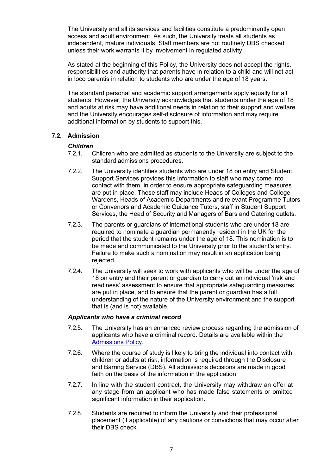The University and all its services and facilities constitute a predominantly open access and adult environment. As such, the University treats all students as independent, mature individuals. Staff members are not routinely DBS checked unless their work warrants it by involvement in regulated activity.

As stated at the beginning of this Policy, the University does not accept the rights, responsibilities and authority that parents have in relation to a child and will not act in loco parentis in relation to students who are under the age of 18 years.

The standard personal and academic support arrangements apply equally for all students. However, the University acknowledges that students under the age of 18 and adults at risk may have additional needs in relation to their support and welfare and the University encourages self-disclosure of information and may require additional information by students to support this.

#### <span id="page-7-0"></span>**7.2. Admission**

# *Children*<br>7.2.1. (

- 7.2.1. Children who are admitted as students to the University are subject to the standard admissions procedures.
- 7.2.2. The University identifies students who are under 18 on entry and Student Support Services provides this information to staff who may come into contact with them, in order to ensure appropriate safeguarding measures are put in place. These staff may include Heads of Colleges and College Wardens, Heads of Academic Departments and relevant Programme Tutors or Convenors and Academic Guidance Tutors, staff in Student Support Services, the Head of Security and Managers of Bars and Catering outlets.
- 7.2.3. The parents or guardians of international students who are under 18 are required to nominate a guardian permanently resident in the UK for the period that the student remains under the age of 18. This nomination is to be made and communicated to the University prior to the student's entry. Failure to make such a nomination may result in an application being rejected.
- 7.2.4. The University will seek to work with applicants who will be under the age of 18 on entry and their parent or guardian to carry out an individual 'risk and readiness' assessment to ensure that appropriate safeguarding measures are put in place, and to ensure that the parent or guardian has a full understanding of the nature of the University environment and the support that is (and is not) available.

#### *Applicants who have a criminal record*

- 7.2.5. The University has an enhanced review process regarding the admission of applicants who have a criminal record. Details are available within the [Admissions Policy.](https://www.roehampton.ac.uk/corporate-information/policies/)
- 7.2.6. Where the course of study is likely to bring the individual into contact with children or adults at risk, information is required through the Disclosure and Barring Service (DBS). All admissions decisions are made in good faith on the basis of the information in the application.
- 7.2.7. In line with the student contract, the University may withdraw an offer at any stage from an applicant who has made false statements or omitted significant information in their application.
- 7.2.8. Students are required to inform the University and their professional placement (if applicable) of any cautions or convictions that may occur after their DBS check.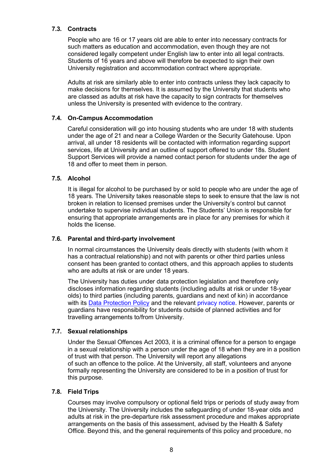#### <span id="page-8-0"></span>**7.3. Contracts**

People who are 16 or 17 years old are able to enter into necessary contracts for such matters as education and accommodation, even though they are not considered legally competent under English law to enter into all legal contracts. Students of 16 years and above will therefore be expected to sign their own University registration and accommodation contract where appropriate.

Adults at risk are similarly able to enter into contracts unless they lack capacity to make decisions for themselves. It is assumed by the University that students who are classed as adults at risk have the capacity to sign contracts for themselves unless the University is presented with evidence to the contrary.

#### **7.4. On-Campus Accommodation**

Careful consideration will go into housing students who are under 18 with students under the age of 21 and near a College Warden or the Security Gatehouse. Upon arrival, all under 18 residents will be contacted with information regarding support services, life at University and an outline of support offered to under 18s. Student Support Services will provide a named contact person for students under the age of 18 and offer to meet them in person.

#### <span id="page-8-1"></span>**7.5. Alcohol**

It is illegal for alcohol to be purchased by or sold to people who are under the age of 18 years. The University takes reasonable steps to seek to ensure that the law is not broken in relation to licensed premises under the University's control but cannot undertake to supervise individual students. The Students' Union is responsible for ensuring that appropriate arrangements are in place for any premises for which it holds the license.

#### <span id="page-8-2"></span>**7.6. Parental and third-party involvement**

In normal circumstances the University deals directly with students (with whom it has a contractual relationship) and not with parents or other third parties unless consent has been granted to contact others, and this approach applies to students who are adults at risk or are under 18 years.

The University has duties under data protection legislation and therefore only discloses information regarding students (including adults at risk or under 18-year olds) to third parties (including parents, guardians and next of kin) in accordance with its [Data Protection Policy](https://www.roehampton.ac.uk/corporate-information/policies/) and the relevant [privacy notice.](https://www.roehampton.ac.uk/site/privacy/) However, parents or guardians have responsibility for students outside of planned activities and for travelling arrangements to/from University.

#### <span id="page-8-3"></span>**7.7. Sexual relationships**

Under the Sexual Offences Act 2003, it is a criminal offence for a person to engage in a sexual relationship with a person under the age of 18 when they are in a position of trust with that person. The University will report any allegations of such an offence to the police. At the University, all staff, volunteers and anyone formally representing the University are considered to be in a position of trust for this purpose.

#### <span id="page-8-4"></span>**7.8. Field Trips**

Courses may involve compulsory or optional field trips or periods of study away from the University. The University includes the safeguarding of under 18-year olds and adults at risk in the pre-departure risk assessment procedure and makes appropriate arrangements on the basis of this assessment, advised by the Health & Safety Office. Beyond this, and the general requirements of this policy and procedure, no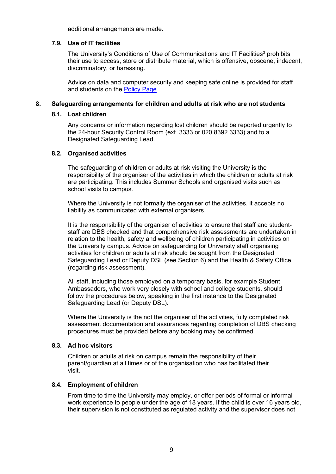additional arrangements are made.

#### <span id="page-9-6"></span><span id="page-9-0"></span>**7.9. Use of IT facilities**

The University's Conditions of Use of Communications and IT Facilities<sup>3</sup> prohibits their use to access, store or distribute material, which is offensive, obscene, indecent, discriminatory, or harassing.

Advice on data and computer security and keeping safe online is provided for staff and students on the [Policy](https://www.roehampton.ac.uk/corporate-information/policies/) Page.

#### <span id="page-9-2"></span><span id="page-9-1"></span>**8. Safeguarding arrangements for children and adults at risk who are not students**

#### **8.1. Lost children**

Any concerns or information regarding lost children should be reported urgently to the 24-hour Security Control Room (ext. 3333 or 020 8392 3333) and to a Designated Safeguarding Lead.

#### <span id="page-9-3"></span>**8.2. Organised activities**

The safeguarding of children or adults at risk visiting the University is the responsibility of the organiser of the activities in which the children or adults at risk are participating. This includes Summer Schools and organised visits such as school visits to campus.

Where the University is not formally the organiser of the activities, it accepts no liability as communicated with external organisers.

It is the responsibility of the organiser of activities to ensure that staff and studentstaff are DBS checked and that comprehensive risk assessments are undertaken in relation to the health, safety and wellbeing of children participating in activities on the University campus. Advice on safeguarding for University staff organising activities for children or adults at risk should be sought from the Designated Safeguarding Lead or Deputy DSL (see Section 6) and the Health & Safety Office (regarding risk assessment).

All staff, including those employed on a temporary basis, for example Student Ambassadors, who work very closely with school and college students, should follow the procedures below, speaking in the first instance to the Designated Safeguarding Lead (or Deputy DSL).

Where the University is the not the organiser of the activities, fully completed risk assessment documentation and assurances regarding completion of DBS checking procedures must be provided before any booking may be confirmed.

#### <span id="page-9-4"></span>**8.3. Ad hoc visitors**

Children or adults at risk on campus remain the responsibility of their parent/guardian at all times or of the organisation who has facilitated their visit.

#### <span id="page-9-5"></span>**8.4. Employment of children**

From time to time the University may employ, or offer periods of formal or informal work experience to people under the age of 18 years. If the child is over 16 years old, their supervision is not constituted as regulated activity and the supervisor does not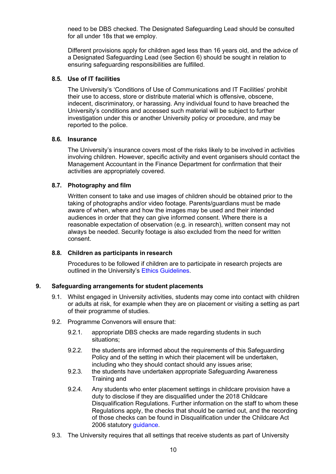need to be DBS checked. The Designated Safeguarding Lead should be consulted for all under 18s that we employ.

Different provisions apply for children aged less than 16 years old, and the advice of a Designated Safeguarding Lead (see Section 6) should be sought in relation to ensuring safeguarding responsibilities are fulfilled.

#### <span id="page-10-0"></span>**8.5. Use of IT facilities**

The University's 'Conditions of Use of Communications and IT Facilities' prohibit their use to access, store or distribute material which is offensive, obscene, indecent, discriminatory, or harassing. Any individual found to have breached the University's conditions and accessed such material will be subject to further investigation under this or another University policy or procedure, and may be reported to the police.

#### <span id="page-10-1"></span>**8.6. Insurance**

The University's insurance covers most of the risks likely to be involved in activities involving children. However, specific activity and event organisers should contact the Management Accountant in the Finance Department for confirmation that their activities are appropriately covered.

#### <span id="page-10-2"></span>**8.7. Photography and film**

Written consent to take and use images of children should be obtained prior to the taking of photographs and/or video footage. Parents/guardians must be made aware of when, where and how the images may be used and their intended audiences in order that they can give informed consent. Where there is a reasonable expectation of observation (e.g. in research), written consent may not always be needed. Security footage is also excluded from the need for written consent.

#### <span id="page-10-3"></span>**8.8. Children as participants in research**

Procedures to be followed if children are to participate in research projects are outlined in the University's Ethics [Guidelines.](https://www.roehampton.ac.uk/research/ethics/)

#### <span id="page-10-4"></span>**9. Safeguarding arrangements for student placements**

- 9.1. Whilst engaged in University activities, students may come into contact with children or adults at risk, for example when they are on placement or visiting a setting as part of their programme of studies.
- 9.2. Programme Convenors will ensure that:
	- 9.2.1. appropriate DBS checks are made regarding students in such situations;
	- 9.2.2. the students are informed about the requirements of this Safeguarding Policy and of the setting in which their placement will be undertaken, including who they should contact should any issues arise;
	- 9.2.3. the students have undertaken appropriate Safeguarding Awareness Training and
	- 9.2.4. Any students who enter placement settings in childcare provision have a duty to disclose if they are disqualified under the 2018 Childcare Disqualification Regulations. Further information on the staff to whom these Regulations apply, the checks that should be carried out, and the recording of those checks can be found in Disqualification under the Childcare Act 2006 statutory [guidance.](https://www.gov.uk/government/publications/disqualification-under-the-childcare-act-2006)
- 9.3. The University requires that all settings that receive students as part of University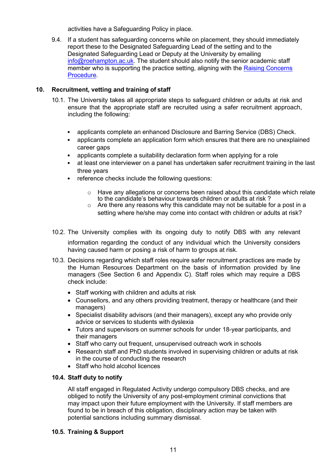activities have a Safeguarding Policy in place.

9.4. If a student has safeguarding concerns while on placement, they should immediately report these to the Designated Safeguarding Lead of the setting and to the Designated Safeguarding Lead or Deputy at the University by emailing [info@roehampton.ac.uk. T](mailto:%20info@roehampton.ac.uk)he student should also notify the senior academic staff member who is supporting the practice setting, aligning with the [Raising Concerns](https://www.roehampton.ac.uk/corporate-information/Policies/) [Procedure.](https://www.roehampton.ac.uk/corporate-information/Policies/)

#### <span id="page-11-0"></span>**10. Recruitment, vetting and training of staff**

- 10.1. The University takes all appropriate steps to safeguard children or adults at risk and ensure that the appropriate staff are recruited using a safer recruitment approach, including the following:
	- applicants complete an enhanced Disclosure and Barring Service (DBS) Check.
	- applicants complete an application form which ensures that there are no unexplained career gaps
	- applicants complete a suitability declaration form when applying for a role
	- at least one interviewer on a panel has undertaken safer recruitment training in the last three years
	- reference checks include the following questions:
		- $\circ$  Have any allegations or concerns been raised about this candidate which relate to the candidate's behaviour towards children or adults at risk ?
		- $\circ$  Are there any reasons why this candidate may not be suitable for a post in a setting where he/she may come into contact with children or adults at risk?
- 10.2. The University complies with its ongoing duty to notify DBS with any relevant information regarding the conduct of any individual which the University considers having caused harm or posing a risk of harm to groups at risk.
- 10.3. Decisions regarding which staff roles require safer recruitment practices are made by the Human Resources Department on the basis of information provided by line managers (See Section 6 and Appendix C). Staff roles which may require a DBS check include:
	- Staff working with children and adults at risk
	- Counsellors, and any others providing treatment, therapy or healthcare (and their managers)
	- Specialist disability advisors (and their managers), except any who provide only advice or services to students with dyslexia
	- Tutors and supervisors on summer schools for under 18-year participants, and their managers
	- Staff who carry out frequent, unsupervised outreach work in schools
	- Research staff and PhD students involved in supervising children or adults at risk in the course of conducting the research
	- Staff who hold alcohol licences

#### **10.4. Staff duty to notify**

All staff engaged in Regulated Activity undergo compulsory DBS checks, and are obliged to notify the University of any post-employment criminal convictions that may impact upon their future employment with the University. If staff members are found to be in breach of this obligation, disciplinary action may be taken with potential sanctions including summary dismissal.

#### **10.5. Training & Support**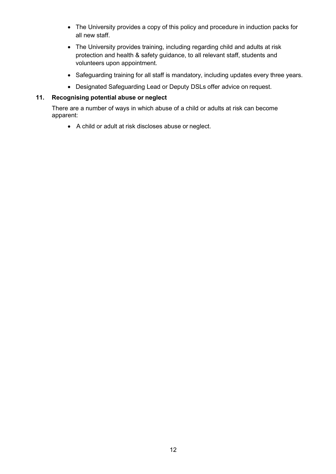- The University provides a copy of this policy and procedure in induction packs for all new staff.
- The University provides training, including regarding child and adults at risk protection and health & safety guidance, to all relevant staff, students and volunteers upon appointment.
- Safeguarding training for all staff is mandatory, including updates every three years.
- Designated Safeguarding Lead or Deputy DSLs offer advice on request.

#### **11. Recognising potential abuse or neglect**

There are a number of ways in which abuse of a child or adults at risk can become apparent:

• A child or adult at risk discloses abuse or neglect.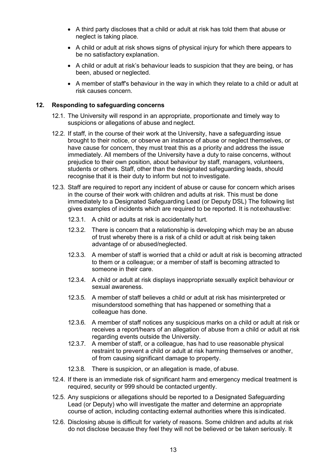- A third party discloses that a child or adult at risk has told them that abuse or neglect is taking place.
- A child or adult at risk shows signs of physical injury for which there appears to be no satisfactory explanation.
- A child or adult at risk's behaviour leads to suspicion that they are being, or has been, abused or neglected.
- A member of staff's behaviour in the way in which they relate to a child or adult at risk causes concern.

#### <span id="page-13-0"></span>**12. Responding to safeguarding concerns**

- 12.1. The University will respond in an appropriate, proportionate and timely way to suspicions or allegations of abuse and neglect.
- 12.2. If staff, in the course of their work at the University, have a safeguarding issue brought to their notice, or observe an instance of abuse or neglect themselves, or have cause for concern, they must treat this as a priority and address the issue immediately. All members of the University have a duty to raise concerns, without prejudice to their own position, about behaviour by staff, managers, volunteers, students or others. Staff, other than the designated safeguarding leads, should recognise that it is their duty to inform but not to investigate.
- 12.3. Staff are required to report any incident of abuse or cause for concern which arises in the course of their work with children and adults at risk. This must be done immediately to a Designated Safeguarding Lead (or Deputy DSL) The following list gives examples of incidents which are required to be reported. It is notexhaustive:
	- 12.3.1. A child or adults at risk is accidentally hurt.
	- 12.3.2. There is concern that a relationship is developing which may be an abuse of trust whereby there is a risk of a child or adult at risk being taken advantage of or abused/neglected.
	- 12.3.3. A member of staff is worried that a child or adult at risk is becoming attracted to them or a colleague; or a member of staff is becoming attracted to someone in their care.
	- 12.3.4. A child or adult at risk displays inappropriate sexually explicit behaviour or sexual awareness.
	- 12.3.5. A member of staff believes a child or adult at risk has misinterpreted or misunderstood something that has happened or something that a colleague has done.
	- 12.3.6. A member of staff notices any suspicious marks on a child or adult at risk or receives a report/hears of an allegation of abuse from a child or adult at risk regarding events outside the University.
	- 12.3.7. A member of staff, or a colleague, has had to use reasonable physical restraint to prevent a child or adult at risk harming themselves or another, of from causing significant damage to property.
	- 12.3.8. There is suspicion, or an allegation is made, of abuse.
- 12.4. If there is an immediate risk of significant harm and emergency medical treatment is required, security or 999 should be contacted urgently.
- 12.5. Any suspicions or allegations should be reported to a Designated Safeguarding Lead (or Deputy) who will investigate the matter and determine an appropriate course of action, including contacting external authorities where this is indicated.
- 12.6. Disclosing abuse is difficult for variety of reasons. Some children and adults at risk do not disclose because they feel they will not be believed or be taken seriously. It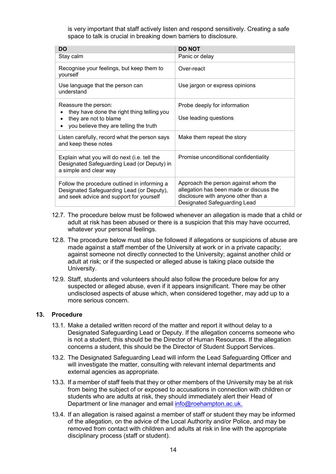is very important that staff actively listen and respond sensitively. Creating a safe space to talk is crucial in breaking down barriers to disclosure.

| <b>DO</b>                                                                                                                             | <b>DO NOT</b>                                                                                                                                          |
|---------------------------------------------------------------------------------------------------------------------------------------|--------------------------------------------------------------------------------------------------------------------------------------------------------|
| Stay calm                                                                                                                             | Panic or delay                                                                                                                                         |
| Recognise your feelings, but keep them to<br>yourself                                                                                 | Over-react                                                                                                                                             |
| Use language that the person can<br>understand                                                                                        | Use jargon or express opinions                                                                                                                         |
| Reassure the person:                                                                                                                  | Probe deeply for information                                                                                                                           |
| they have done the right thing telling you<br>they are not to blame<br>you believe they are telling the truth                         | Use leading questions                                                                                                                                  |
| Listen carefully, record what the person says<br>and keep these notes                                                                 | Make them repeat the story                                                                                                                             |
| Explain what you will do next (i.e. tell the<br>Designated Safeguarding Lead (or Deputy) in<br>a simple and clear way                 | Promise unconditional confidentiality                                                                                                                  |
| Follow the procedure outlined in informing a<br>Designated Safeguarding Lead (or Deputy),<br>and seek advice and support for yourself | Approach the person against whom the<br>allegation has been made or discuss the<br>disclosure with anyone other than a<br>Designated Safeguarding Lead |

- 12.7. The procedure below must be followed whenever an allegation is made that a child or adult at risk has been abused or there is a suspicion that this may have occurred, whatever your personal feelings.
- 12.8. The procedure below must also be followed if allegations or suspicions of abuse are made against a staff member of the University at work or in a private capacity; against someone not directly connected to the University; against another child or adult at risk; or if the suspected or alleged abuse is taking place outside the University.
- 12.9. Staff, students and volunteers should also follow the procedure below for any suspected or alleged abuse, even if it appears insignificant. There may be other undisclosed aspects of abuse which, when considered together, may add up to a more serious concern.

#### **13. Procedure**

- 13.1. Make a detailed written record of the matter and report it without delay to a Designated Safeguarding Lead or Deputy. If the allegation concerns someone who is not a student, this should be the Director of Human Resources. If the allegation concerns a student, this should be the Director of Student Support Services.
- 13.2. The Designated Safeguarding Lead will inform the Lead Safeguarding Officer and will investigate the matter, consulting with relevant internal departments and external agencies as appropriate.
- 13.3. If a member of staff feels that they or other members of the University may be at risk from being the subject of or exposed to accusations in connection with children or students who are adults at risk, they should immediately alert their Head of Department or line manager and email [info@roehampton.ac.uk.](mailto:safeguarding@roehampton.ac.uk)
- 13.4. If an allegation is raised against a member of staff or student they may be informed of the allegation, on the advice of the Local Authority and/or Police, and may be removed from contact with children and adults at risk in line with the appropriate disciplinary process (staff or student).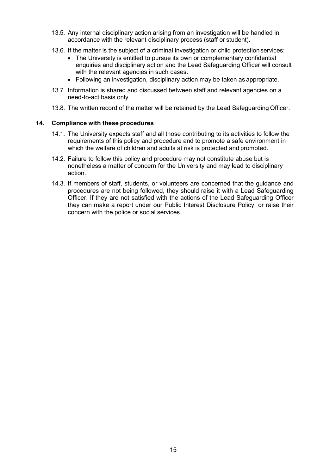- 13.5. Any internal disciplinary action arising from an investigation will be handled in accordance with the relevant disciplinary process (staff or student).
- 13.6. If the matter is the subject of a criminal investigation or child protection services:
	- The University is entitled to pursue its own or complementary confidential enquiries and disciplinary action and the Lead Safeguarding Officer will consult with the relevant agencies in such cases.
	- Following an investigation, disciplinary action may be taken as appropriate.
- 13.7. Information is shared and discussed between staff and relevant agencies on a need-to-act basis only.
- 13.8. The written record of the matter will be retained by the Lead Safeguarding Officer.

#### <span id="page-15-0"></span>**14. Compliance with these procedures**

- 14.1. The University expects staff and all those contributing to its activities to follow the requirements of this policy and procedure and to promote a safe environment in which the welfare of children and adults at risk is protected and promoted.
- 14.2. Failure to follow this policy and procedure may not constitute abuse but is nonetheless a matter of concern for the University and may lead to disciplinary action.
- 14.3. If members of staff, students, or volunteers are concerned that the guidance and procedures are not being followed, they should raise it with a Lead Safeguarding Officer. If they are not satisfied with the actions of the Lead Safeguarding Officer they can make a report under our Public Interest Disclosure Policy, or raise their concern with the police or social services.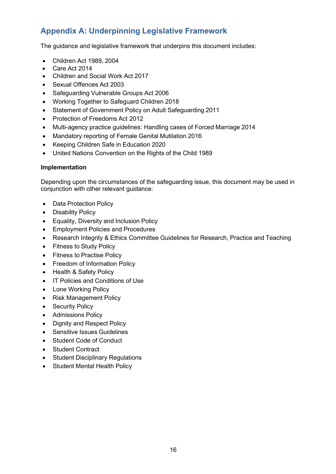## <span id="page-16-0"></span>**Appendix A: Underpinning Legislative Framework**

The guidance and legislative framework that underpins this document includes:

- Children Act 1989, 2004
- Care Act 2014
- Children and Social Work Act 2017
- Sexual Offences Act 2003
- Safeguarding Vulnerable Groups Act 2006
- Working Together to Safeguard Children 2018
- Statement of Government Policy on Adult Safeguarding 2011
- Protection of Freedoms Act 2012
- Multi-agency practice guidelines: Handling cases of Forced Marriage 2014
- Mandatory reporting of Female Genital Mutilation 2016
- Keeping Children Safe in Education 2020
- United Nations Convention on the Rights of the Child 1989

#### **Implementation**

Depending upon the circumstances of the safeguarding issue, this document may be used in conjunction with other relevant guidance:

- Data Protection Policy
- Disability Policy
- Equality, Diversity and Inclusion Policy
- Employment Policies and Procedures
- Research Integrity & Ethics Committee Guidelines for Research, Practice and Teaching
- Fitness to Study Policy
- Fitness to Practise Policy
- Freedom of Information Policy
- Health & Safety Policy
- IT Policies and Conditions of Use
- Lone Working Policy
- Risk Management Policy
- Security Policy
- Admissions Policy
- Dignity and Respect Policy
- Sensitive Issues Guidelines
- Student Code of Conduct
- Student Contract
- Student Disciplinary Regulations
- Student Mental Health Policy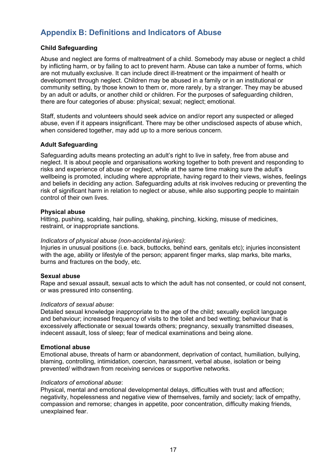## <span id="page-17-0"></span>**Appendix B: Definitions and Indicators of Abuse**

#### **Child Safeguarding**

Abuse and neglect are forms of maltreatment of a child. Somebody may abuse or neglect a child by inflicting harm, or by failing to act to prevent harm. Abuse can take a number of forms, which are not mutually exclusive. It can include direct ill-treatment or the impairment of health or development through neglect. Children may be abused in a family or in an institutional or community setting, by those known to them or, more rarely, by a stranger. They may be abused by an adult or adults, or another child or children. For the purposes of safeguarding children, there are four categories of abuse: physical; sexual; neglect; emotional.

Staff, students and volunteers should seek advice on and/or report any suspected or alleged abuse, even if it appears insignificant. There may be other undisclosed aspects of abuse which, when considered together, may add up to a more serious concern.

#### **Adult Safeguarding**

Safeguarding adults means protecting an adult's right to live in safety, free from abuse and neglect. It is about people and organisations working together to both prevent and responding to risks and experience of abuse or neglect, while at the same time making sure the adult's wellbeing is promoted, including where appropriate, having regard to their views, wishes, feelings and beliefs in deciding any action. Safeguarding adults at risk involves reducing or preventing the risk of significant harm in relation to neglect or abuse, while also supporting people to maintain control of their own lives.

#### **Physical abuse**

Hitting, pushing, scalding, hair pulling, shaking, pinching, kicking, misuse of medicines, restraint, or inappropriate sanctions.

#### *Indicators of physical abuse (non-accidental injuries)*:

Injuries in unusual positions (i.e. back, buttocks, behind ears, genitals etc); injuries inconsistent with the age, ability or lifestyle of the person; apparent finger marks, slap marks, bite marks, burns and fractures on the body, etc.

#### **Sexual abuse**

Rape and sexual assault, sexual acts to which the adult has not consented, or could not consent, or was pressured into consenting.

#### *Indicators of sexual abuse*:

Detailed sexual knowledge inappropriate to the age of the child; sexually explicit language and behaviour; increased frequency of visits to the toilet and bed wetting; behaviour that is excessively affectionate or sexual towards others; pregnancy, sexually transmitted diseases, indecent assault, loss of sleep; fear of medical examinations and being alone.

#### **Emotional abuse**

Emotional abuse, threats of harm or abandonment, deprivation of contact, humiliation, bullying, blaming, controlling, intimidation, coercion, harassment, verbal abuse, isolation or being prevented/ withdrawn from receiving services or supportive networks.

#### *Indicators of emotional abuse*:

Physical, mental and emotional developmental delays, difficulties with trust and affection; negativity, hopelessness and negative view of themselves, family and society; lack of empathy, compassion and remorse; changes in appetite, poor concentration, difficulty making friends, unexplained fear.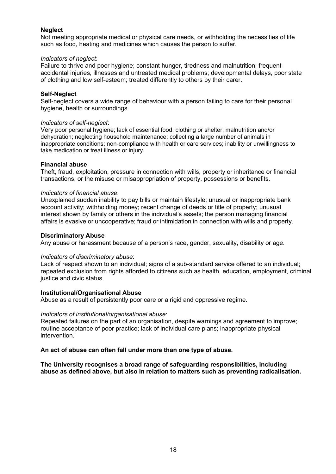#### **Neglect**

Not meeting appropriate medical or physical care needs, or withholding the necessities of life such as food, heating and medicines which causes the person to suffer.

#### *Indicators of neglect*:

Failure to thrive and poor hygiene; constant hunger, tiredness and malnutrition; frequent accidental injuries, illnesses and untreated medical problems; developmental delays, poor state of clothing and low self-esteem; treated differently to others by their carer.

#### **Self-Neglect**

Self-neglect covers a wide range of behaviour with a person failing to care for their personal hygiene, health or surroundings.

#### *Indicators of self-neglect*:

Very poor personal hygiene; lack of essential food, clothing or shelter; malnutrition and/or dehydration; neglecting household maintenance; collecting a large number of animals in inappropriate conditions; non-compliance with health or care services; inability or unwillingness to take medication or treat illness or injury.

#### **Financial abuse**

Theft, fraud, exploitation, pressure in connection with wills, property or inheritance or financial transactions, or the misuse or misappropriation of property, possessions or benefits.

#### *Indicators of financial abuse*:

Unexplained sudden inability to pay bills or maintain lifestyle; unusual or inappropriate bank account activity; withholding money; recent change of deeds or title of property; unusual interest shown by family or others in the individual's assets; the person managing financial affairs is evasive or uncooperative; fraud or intimidation in connection with wills and property.

#### **Discriminatory Abuse**

Any abuse or harassment because of a person's race, gender, sexuality, disability or age.

#### *Indicators of discriminatory abuse*:

Lack of respect shown to an individual; signs of a sub-standard service offered to an individual; repeated exclusion from rights afforded to citizens such as health, education, employment, criminal justice and civic status.

#### **Institutional/Organisational Abuse**

Abuse as a result of persistently poor care or a rigid and oppressive regime.

#### *Indicators of institutional/organisational abuse*:

Repeated failures on the part of an organisation, despite warnings and agreement to improve; routine acceptance of poor practice; lack of individual care plans; inappropriate physical intervention.

#### **An act of abuse can often fall under more than one type of abuse.**

**The University recognises a broad range of safeguarding responsibilities, including abuse as defined above, but also in relation to matters such as preventing radicalisation.**